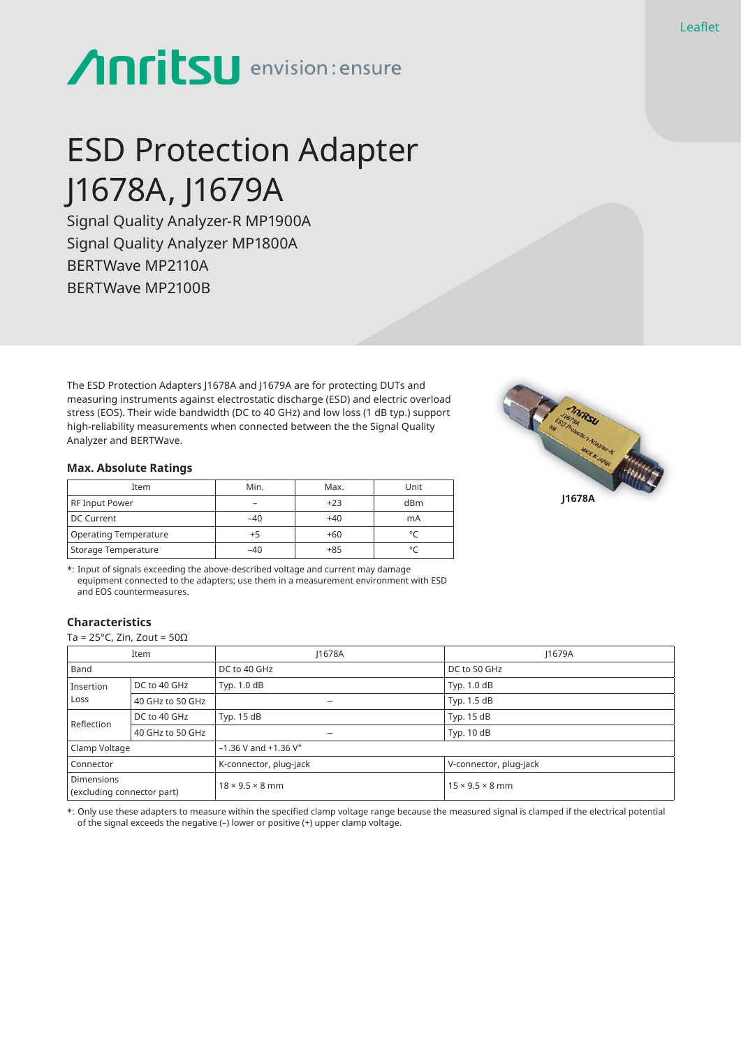# **Anritsu** envision: ensure

# ESD Protection Adapter J1678A, J1679A

Signal Quality Analyzer-R MP1900A Signal Quality Analyzer MP1800A BERTWave MP2110A BERTWave MP2100B

The ESD Protection Adapters J1678A and J1679A are for protecting DUTs and measuring instruments against electrostatic discharge (ESD) and electric overload stress (EOS). Their wide bandwidth (DC to 40 GHz) and low loss (1 dB typ.) support high-reliability measurements when connected between the the Signal Quality Analyzer and BERTWave.

### **Max. Absolute Ratings**

| Item                  | Min.  | Max.  | Unit |
|-----------------------|-------|-------|------|
| RF Input Power        | -     | $+23$ | dBm  |
| DC Current            | $-40$ | $+40$ | mA   |
| Operating Temperature | +5    | $+60$ |      |
| Storage Temperature   | $-40$ | $+85$ |      |



\*: Input of signals exceeding the above-described voltage and current may damage equipment connected to the adapters; use them in a measurement environment with ESD and EOS countermeasures.

# **Characteristics**

Ta = 25°C, Zin, Zout = 50Ω

|                                                 | Item             | 11678A                               | 11679A                      |  |
|-------------------------------------------------|------------------|--------------------------------------|-----------------------------|--|
| Band                                            |                  | DC to 40 GHz                         | DC to 50 GHz                |  |
| DC to 40 GHz<br>Insertion<br>Loss               |                  | Typ. 1.0 dB                          | Typ. 1.0 dB                 |  |
|                                                 | 40 GHz to 50 GHz | $\overline{\phantom{0}}$             | Typ. 1.5 dB                 |  |
| DC to 40 GHz<br>Reflection                      |                  | Typ. $15 dB$                         | Typ. 15 dB                  |  |
|                                                 | 40 GHz to 50 GHz | -                                    | Typ. $10dB$                 |  |
| Clamp Voltage                                   |                  | $-1.36$ V and $+1.36$ V <sup>*</sup> |                             |  |
| Connector                                       |                  | K-connector, plug-jack               | V-connector, plug-jack      |  |
| <b>Dimensions</b><br>(excluding connector part) |                  | $18 \times 9.5 \times 8$ mm          | $15 \times 9.5 \times 8$ mm |  |

\*: Only use these adapters to measure within the specified clamp voltage range because the measured signal is clamped if the electrical potential of the signal exceeds the negative (–) lower or positive (+) upper clamp voltage.